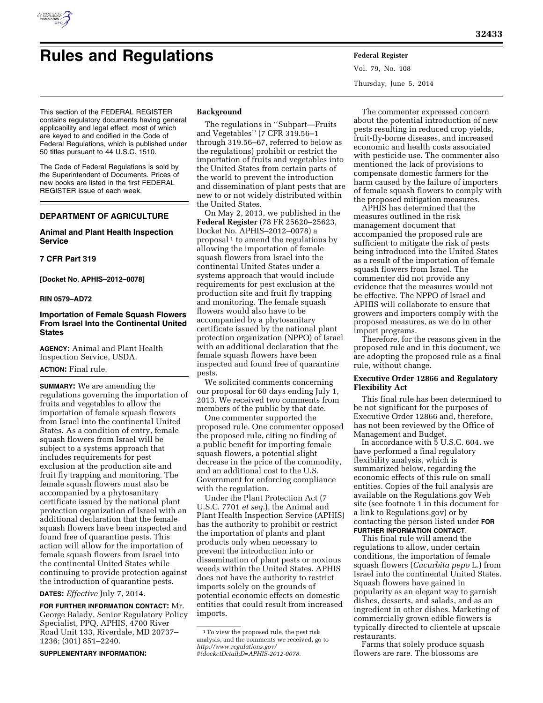

# **Rules and Regulations Federal Register**

Vol. 79, No. 108 Thursday, June 5, 2014

This section of the FEDERAL REGISTER contains regulatory documents having general applicability and legal effect, most of which are keyed to and codified in the Code of Federal Regulations, which is published under 50 titles pursuant to 44 U.S.C. 1510.

The Code of Federal Regulations is sold by the Superintendent of Documents. Prices of new books are listed in the first FEDERAL REGISTER issue of each week.

# **DEPARTMENT OF AGRICULTURE**

## **Animal and Plant Health Inspection Service**

## **7 CFR Part 319**

**[Docket No. APHIS–2012–0078]** 

#### **RIN 0579–AD72**

## **Importation of Female Squash Flowers From Israel Into the Continental United States**

**AGENCY:** Animal and Plant Health Inspection Service, USDA.

#### **ACTION:** Final rule.

**SUMMARY:** We are amending the regulations governing the importation of fruits and vegetables to allow the importation of female squash flowers from Israel into the continental United States. As a condition of entry, female squash flowers from Israel will be subject to a systems approach that includes requirements for pest exclusion at the production site and fruit fly trapping and monitoring. The female squash flowers must also be accompanied by a phytosanitary certificate issued by the national plant protection organization of Israel with an additional declaration that the female squash flowers have been inspected and found free of quarantine pests. This action will allow for the importation of female squash flowers from Israel into the continental United States while continuing to provide protection against the introduction of quarantine pests.

## **DATES:** *Effective* July 7, 2014.

**FOR FURTHER INFORMATION CONTACT:** Mr. George Balady, Senior Regulatory Policy Specialist, PPQ, APHIS, 4700 River Road Unit 133, Riverdale, MD 20737– 1236; (301) 851–2240.

**SUPPLEMENTARY INFORMATION:** 

#### **Background**

The regulations in ''Subpart—Fruits and Vegetables'' (7 CFR 319.56–1 through 319.56–67, referred to below as the regulations) prohibit or restrict the importation of fruits and vegetables into the United States from certain parts of the world to prevent the introduction and dissemination of plant pests that are new to or not widely distributed within the United States.

On May 2, 2013, we published in the **Federal Register** (78 FR 25620–25623, Docket No. APHIS–2012–0078) a proposal<sup>1</sup> to amend the regulations by allowing the importation of female squash flowers from Israel into the continental United States under a systems approach that would include requirements for pest exclusion at the production site and fruit fly trapping and monitoring. The female squash flowers would also have to be accompanied by a phytosanitary certificate issued by the national plant protection organization (NPPO) of Israel with an additional declaration that the female squash flowers have been inspected and found free of quarantine pests.

We solicited comments concerning our proposal for 60 days ending July 1, 2013. We received two comments from members of the public by that date.

One commenter supported the proposed rule. One commenter opposed the proposed rule, citing no finding of a public benefit for importing female squash flowers, a potential slight decrease in the price of the commodity, and an additional cost to the U.S. Government for enforcing compliance with the regulation.

Under the Plant Protection Act (7 U.S.C. 7701 *et seq.*), the Animal and Plant Health Inspection Service (APHIS) has the authority to prohibit or restrict the importation of plants and plant products only when necessary to prevent the introduction into or dissemination of plant pests or noxious weeds within the United States. APHIS does not have the authority to restrict imports solely on the grounds of potential economic effects on domestic entities that could result from increased imports.

The commenter expressed concern about the potential introduction of new pests resulting in reduced crop yields, fruit-fly-borne diseases, and increased economic and health costs associated with pesticide use. The commenter also mentioned the lack of provisions to compensate domestic farmers for the harm caused by the failure of importers of female squash flowers to comply with the proposed mitigation measures.

APHIS has determined that the measures outlined in the risk management document that accompanied the proposed rule are sufficient to mitigate the risk of pests being introduced into the United States as a result of the importation of female squash flowers from Israel. The commenter did not provide any evidence that the measures would not be effective. The NPPO of Israel and APHIS will collaborate to ensure that growers and importers comply with the proposed measures, as we do in other import programs.

Therefore, for the reasons given in the proposed rule and in this document, we are adopting the proposed rule as a final rule, without change.

## **Executive Order 12866 and Regulatory Flexibility Act**

This final rule has been determined to be not significant for the purposes of Executive Order 12866 and, therefore, has not been reviewed by the Office of Management and Budget.

In accordance with 5 U.S.C. 604, we have performed a final regulatory flexibility analysis, which is summarized below, regarding the economic effects of this rule on small entities. Copies of the full analysis are available on the Regulations.gov Web site (see footnote 1 in this document for a link to Regulations.gov) or by contacting the person listed under **FOR FURTHER INFORMATION CONTACT**.

This final rule will amend the regulations to allow, under certain conditions, the importation of female squash flowers (*Cucurbita pepo* L.) from Israel into the continental United States. Squash flowers have gained in popularity as an elegant way to garnish dishes, desserts, and salads, and as an ingredient in other dishes. Marketing of commercially grown edible flowers is typically directed to clientele at upscale restaurants.

Farms that solely produce squash flowers are rare. The blossoms are

<sup>1</sup>To view the proposed rule, the pest risk analysis, and the comments we received, go to *[http://www.regulations.gov/](http://www.regulations.gov/#!docketDetail;D=APHIS-2012-0078) [#!docketDetail;D=APHIS-2012-0078.](http://www.regulations.gov/#!docketDetail;D=APHIS-2012-0078)*